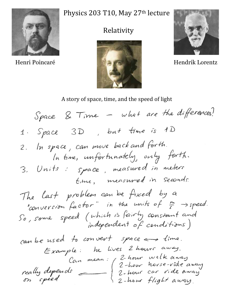

## Physics 203 T10, May 27<sup>th</sup> lecture

## Relativity





## A story of space, time, and the speed of light

Space & Time - what are the differences! 1. Space 3D, but time is 1D 2. In space, can move back and forth. In time, unfortunately, only forth. 3. Units: space, measured in meters time, measured in seconds. The last problem can be fixed by a "conversion factor" in the units of  $\frac{m}{s} \rightarrow speed$ . So, some speed (which is fairly constant and can be used to convert space  $\Longleftrightarrow$  time. Example: he lives 2 hours away. really depends<br>on speed and thour norse-vide away<br>on speed 2-hour car vide away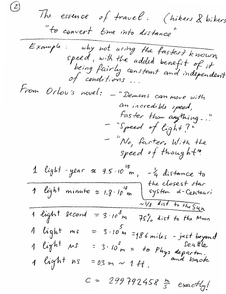$\mathcal{L}$ The essence of travel: (hikers & bikers "to convert time into distance" Example: why not using the fastest known<br>speed, with the added benefit of it<br>being fairly constant and independent<br>of conditions... From Orlou's novel: - "Demons can move with an incredible speed, faster than anything." - "Speed of light?" - "No, faster, With the speed of thought" 1 light - year  $\approx$  9.5.10 m,  $\sim$  4 distance to<br>1 light minute  $\approx$  1.8.10 m system & Centauri<br>2 light minute  $\approx$  1.8.10 m system & Centauri 1 light second =  $3 \cdot 10^{8}$ m 75% dist to the Moon =  $3.10^{\frac{5}{m}}$  = 186 miles - just beyond<br>=  $3.10^{\frac{2}{m}}$  = to Phys departm.<br>=  $n = m \sim 1 + t$ 1 light me 1 light us 1 light ns = 0.3 m ~ 1 ft.  $c = 299792458 \frac{h}{s}$  exactly!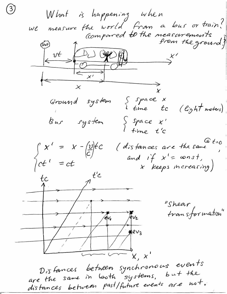What is happening when we measure the world from a bus or train?<br>(compared to the measurements)  $\left\lfloor \frac{vt}{t} \right\rfloor$  $D_{L}$  $\begin{array}{c}\n\hline\n\downarrow \\
\swarrow\n\end{array}$ Ground system  $\begin{cases} \text{space} \\ \text{time} \end{cases}$ (light meters) Bus system  $\S$  space  $x'$  $time$   $t^{\prime}c$  $Q_{t=0}$  $\int c t' = x - \frac{v}{c} f c$ <br>  $\int c t' = ct$ (distances are the same and if  $x' = const$ , x keeps increasing)  $t'$ c "Shear transformation"  $*ev_3$ Distances between synchronous events are the same in booth systems, but the distances between past/future events are not.

 $\binom{3}{2}$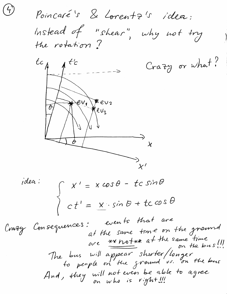Poincaré's & Lorentz's idea: instead of "shear", why not try the rotation?

 $\left( 4\right)$ 



idea:  $\int x' = x \cos \theta - t c \sin \theta$  $\begin{cases} c t' = x \cdot sin \theta + t c cos \theta \end{cases}$ 

Crazy Consequences: events that are at the same tome on the ground The bus will appear shorter/longer<br>to people on the ground us. on the bus And, they will not even be able to agree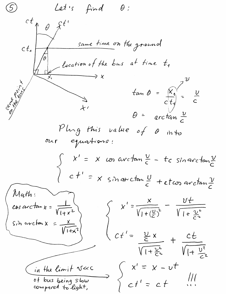Let 's  $\mathcal{S}$  $\theta$  : find  $ct_{\Lambda}$  $\hat{\theta}$ same time on the ground  $ct_{1}$ - location of the bus at time  $t_1$  $tan \theta = \frac{\hat{x_1}}{c|t_1}$  $\frac{v}{c}$ arctan  $\frac{\nu}{c}$ Phag this value of 0  $ih$ to  $\alpha$ equations: x cos avectan  $\frac{v}{c}$  - to sin avectan  $\frac{v}{c}$  $\chi'$  $ct' = x sinarctan \frac{U}{c} + ctcos arctan \frac{V}{c}$ Math:  $x' = \frac{x}{\sqrt{1 + (\frac{U}{c})^2}} = \frac{Ut}{\sqrt{1 + \frac{U^2}{c^2}}}$  $cos arctan x =$ Sin arcton X  $\sqrt{1+x^2}$  $\frac{v}{c}$  x  $\frac{ct}{\sqrt{1+\frac{U^{2}}{c^{2}}}}$  $\sqrt{1+\frac{v^2}{2n}}$  $x - vt$ in the limit V«C  $X'$ of bus being slow  $ct$  $ct'$ compared to light,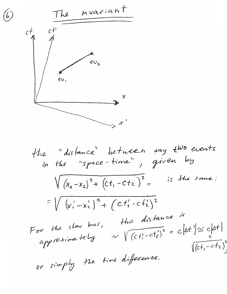6)  
\n
$$
c_{1}^{t} = \frac{c_{1}^{t}}{c_{1}}
$$
\n
$$
c_{2}^{t} = \frac{c_{2}}{c_{2}}
$$
\n
$$
c_{3}^{t} = \frac{c_{3}}{c_{3}}
$$
\n
$$
c_{4}^{t} = \frac{c_{5}}{c_{4}}
$$
\n
$$
c_{5}^{t} = \frac{c_{6}}{c_{5}}
$$
\n
$$
c_{6}^{t} = \frac{c_{7}}{c_{6}}
$$
\n
$$
c_{7}^{t} = \frac{c_{8}}{c_{7}}
$$
\n
$$
c_{8}^{t} = \frac{c_{9}}{c_{1}}
$$
\n
$$
c_{9}^{t} = \frac{c_{1}}{c_{1}}
$$
\n
$$
c_{1}^{t} = \frac{c_{1}}{c_{1}}
$$
\n
$$
c_{1}^{t} = \frac{c_{1}}{c_{1}}
$$
\n
$$
c_{2}^{t} = \frac{c_{1}}{c_{1}}
$$
\n
$$
c_{3}^{t} = \frac{c_{1}}{c_{1}}
$$
\n
$$
c_{1}^{t} = \frac{c_{1}}{c_{1}}
$$
\n
$$
c_{1}^{t} = \frac{c_{1}}{c_{1}}
$$
\n
$$
c_{1}^{t} = \frac{c_{1}}{c_{1}}
$$
\n
$$
c_{1}^{t} = \frac{c_{1}}{c_{1}}
$$
\n
$$
c_{1}^{t} = \frac{c_{1}}{c_{1}}
$$
\n
$$
c_{1}^{t} = \frac{c_{1}}{c_{1}}
$$
\n
$$
c_{1}^{t} = \frac{c_{1}}{c_{1}}
$$
\n
$$
c_{1}^{t} = \frac{c_{1}}{c_{1}}
$$
\n
$$
c_{1}^{t} = \frac{c_{1}}{c_{1}}
$$
\n
$$
c_{2}^{t} = \frac{c_{1}}{c_{1}}
$$
\n
$$
c_{1}^{t} = \frac{c_{1}}{c_{1}}
$$
\n
$$
c_{2}^{t} = \frac{c_{1}}{c_{1}}
$$
\n
$$
c_{1}^{t} = \frac{c_{1}}{c_{1}}
$$
\n $$ 

 $\hat{\mathcal{A}}$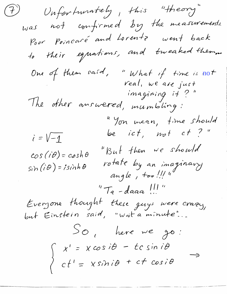(7) Unfortunately, this "theory" was not confirmed by the measurements. Poor Poincaré and Lorentz went back to their equations, and tweaked them. One of them said, "What if time is not<br>real, we are just<br>imagining it?" The other answered, mumbling: "Yon mean, time should be ict, not ct?"  $i = \sqrt{-1}$ "But then we should  $cos(i\theta) = cosh\theta$ rotate by an imaginary<br>angle, too!!! "  $sin(i\theta) = isinh\theta$  $^{\prime\prime}$  T<sub>a</sub> - daaa !!!" Everyone thought these guys were crazy,<br>but Einstein said, "wait a minute"...  $SO_t$  here we go:  $\begin{cases}\n x' = x \cos i\theta - t \cos i\theta \\
 ct' = x \sin i\theta + c \cos i\theta\n\end{cases} \rightarrow$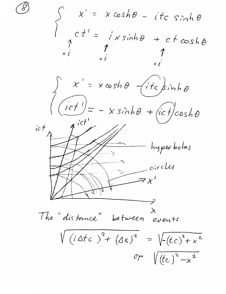$\begin{cases}\n x' = x \cosh \theta - i t c \sinh \theta \\
 c t' = i x \sinh \theta + c t \cosh \theta \\
 x i \qquad x i \qquad x i\n\end{cases}$  $x' = x \cosh \theta$  (itc)sinho  $\left(\frac{ict^{\prime}}{a^{ict^{\prime}}} - x \sinh\theta + (ict) \cosh\theta\right)$  $ict$ - hyperbolas circles The "distance" between events  $\sqrt{(i\Delta t c)^{2} + (\Delta x)^{2}} = \sqrt{(tc)^{2} + x^{2}}$ or  $\sqrt{(t_c)^2-x^2}$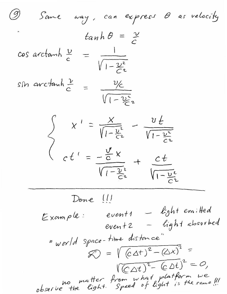(9) Same way, can express  $\theta$  as velocity  $tanh \theta = \frac{\gamma}{c}$ cos arctamh  $\frac{v}{c} = \frac{1}{\sqrt{1-\frac{v^2}{C^2}}}$ sm avectant  $\frac{v}{c} = \frac{v/c}{\sqrt{1-v^2/c^2}}$  $\begin{cases}\n x' = \frac{x}{\sqrt{1-\frac{v^{2}}{C^{2}}}} - \frac{v \frac{t}{C^{2}}}{\sqrt{1-\frac{v^{2}}{C^{2}}}} \\
 c t' = \frac{v}{\sqrt{1-\frac{v^{2}}{C^{2}}}} + \frac{ct}{\sqrt{1-\frac{v^{2}}{C^{2}}}}\n\end{cases}$ Done !!!  $Exom\rho le$ : event1 - light emitted event2 - light absorbed " world space-time distance"  $\mathcal{L} = \sqrt{(c \Delta t)^2 - (\Delta x)^2} =$  $\sqrt{(C\Delta t)^2-(C\Delta t)}^2=0,$ observe the light. Speed of light is the same !!!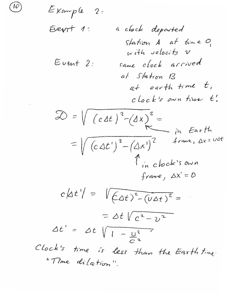Exemple 2:

\nEvent 1: a clock deposited  
\nStation A at time 0,  
\nwith velocity v

\nEvent 2: same clock arrived at *shation B*  
\nat *shation B*  
\nat *earth time t*,  
\nclock is own true t.

\nDo = 
$$
\sqrt{(cdt)^2 - (\Delta x)^2} =
$$
  
\n $= \sqrt{(c\Delta t)^2 - (\Delta x)^2}$  frame,  $\Delta x = \text{tot}$ 

\nTime of  $\Delta t$  is the probability of the total number of times 0.

\nNote: The result is  $\Delta t$  is the probability of the total number of times 0.

\nCheck: The first line is less than the Earth time.

\nThe distance is less than the Earth time.

 $\cdot$ 

 $\mathcal{T}$ 

 $\sqrt{2}$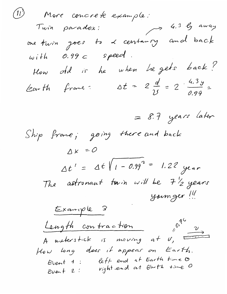(11) More concrete example:<br>Tuin paradox: 4.3 ly away one turn goes to & centaing and back  $with 0.99c speed.$ How old is he when he gets back? Earth frame:  $\Delta t = 2 \frac{d}{v} = 2 \cdot \frac{4.3y}{0.99} =$  $= 8.7$  years later Ship frame; going there and back  $\Delta x = 0$  $\Delta t' = \Delta t / 1 - 0.99^2 = 1.22$  year The astronant tain will be 7 1/2 years yonnger! Example 3  $10^{14}$   $\frac{v}{10^{14}}$ Length contraction A meterstick is moving at  $v$ , there How long does it appear on Earth. Event 1: left end at Earth time to<br>Event 2: night end at Earth time 0